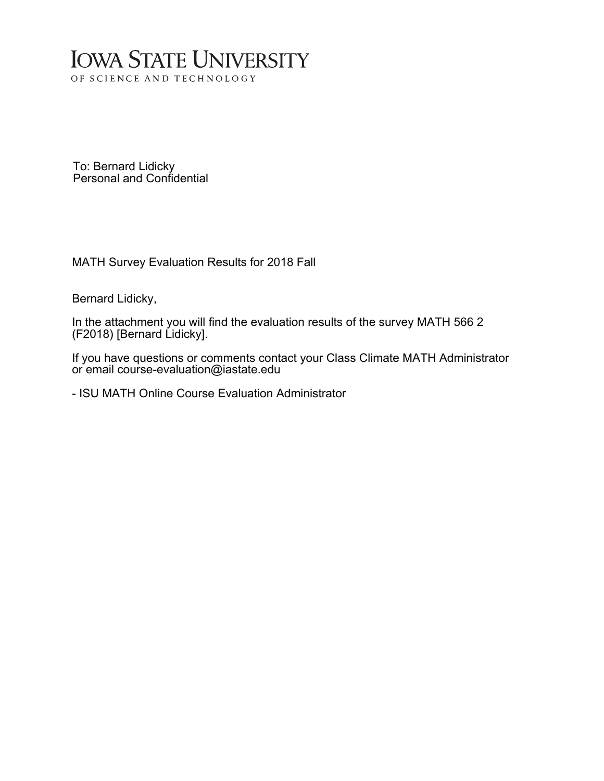## **IOWA STATE UNIVERSITY** OF SCIENCE AND TECHNOLOGY

To: Bernard Lidicky Personal and Confidential

MATH Survey Evaluation Results for 2018 Fall

Bernard Lidicky,

In the attachment you will find the evaluation results of the survey MATH 566 2 (F2018) [Bernard Lidicky].

If you have questions or comments contact your Class Climate MATH Administrator or email course-evaluation@iastate.edu

- ISU MATH Online Course Evaluation Administrator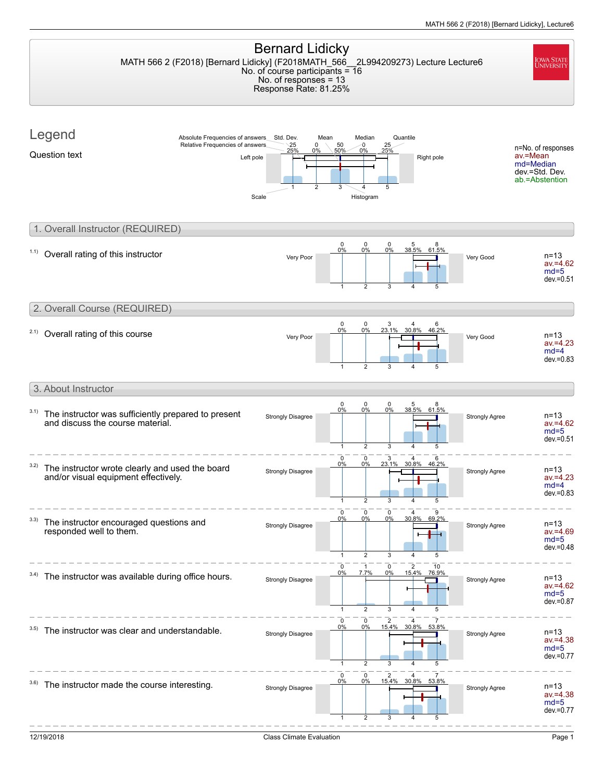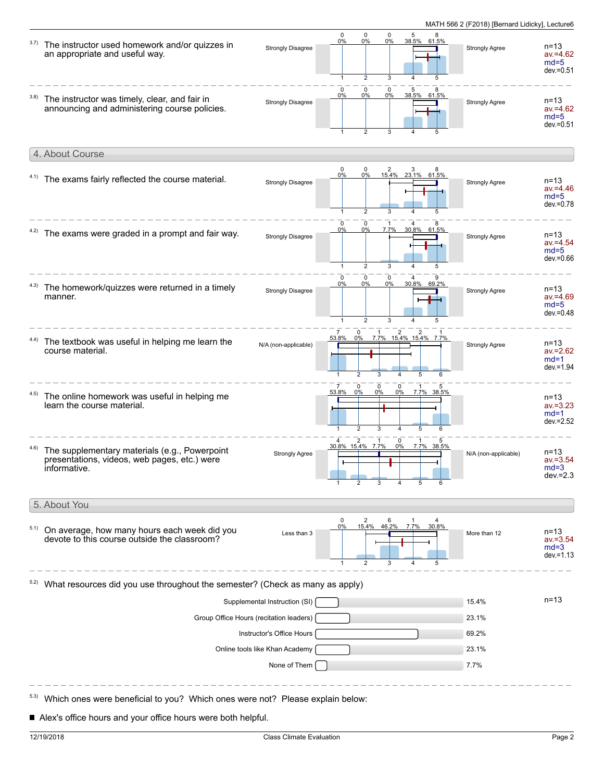| 3.7) | The instructor used homework and/or quizzes in<br>an appropriate and useful way.                              | Strongly Disagree             | 0<br>0%<br>$\mathbf{1}$ | 0<br>0%<br>2                                             | $\pmb{0}$<br>0%<br>3                           | 5<br>4                        | 38.5% 61.5%                | Strongly Agree        | $n = 13$<br>$av = 4.62$<br>$md=5$<br>$dev = 0.51$ |
|------|---------------------------------------------------------------------------------------------------------------|-------------------------------|-------------------------|----------------------------------------------------------|------------------------------------------------|-------------------------------|----------------------------|-----------------------|---------------------------------------------------|
| 3.8) | The instructor was timely, clear, and fair in<br>announcing and administering course policies.                | <b>Strongly Disagree</b>      | $\mathbf 0$<br>0%       | $\mathbf 0$<br>0%<br>$\overline{2}$                      | 0<br>0%                                        | 5                             | 38.5% 61.5%                | Strongly Agree        | $n = 13$<br>$av = 4.62$<br>$md=5$<br>$dev = 0.51$ |
|      | 4. About Course                                                                                               |                               |                         |                                                          |                                                |                               |                            |                       |                                                   |
|      | 4.1) The exams fairly reflected the course material.                                                          | <b>Strongly Disagree</b>      | 0<br>0%                 | 0<br>0%<br>$\overline{2}$                                | $\overline{\mathbf{c}}$                        | 3<br>15.4% 23.1% 61.5%        |                            | <b>Strongly Agree</b> | $n = 13$<br>$av = 4.46$<br>$md=5$<br>$dev = 0.78$ |
| 4.2) | The exams were graded in a prompt and fair way.                                                               | <b>Strongly Disagree</b>      | 0<br>0%<br>$\mathbf{1}$ | $\begin{matrix} 0 \\ 0\% \end{matrix}$<br>$\overline{2}$ | 7.7%<br>3                                      | 30.8% 61.5%<br>$\overline{4}$ | 5                          | Strongly Agree        | $n = 13$<br>$av = 4.54$<br>$md=5$<br>$dev = 0.66$ |
| 4.3) | The homework/quizzes were returned in a timely<br>manner.                                                     | Strongly Disagree             | 0<br>0%<br>$\mathbf{1}$ | 0<br>0%<br>$\overline{2}$                                | 0<br>0%<br>3                                   |                               | 30.8% 69.2%                | Strongly Agree        | $n = 13$<br>$av = 4.69$<br>$md=5$<br>$dev = 0.48$ |
|      | 4.4) The textbook was useful in helping me learn the<br>course material.                                      | N/A (non-applicable)          | 53.8%                   | 0<br>0%<br>$\overline{2}$                                | $\overline{a}$<br>3                            | 5                             | 7.7% 15.4% 15.4% 7.7%<br>6 | <b>Strongly Agree</b> | $n = 13$<br>$av = 2.62$<br>$md=1$<br>$dev = 1.94$ |
| 4.5) | The online homework was useful in helping me<br>learn the course material.                                    |                               | 53.8%                   | $\mathbf 0$<br>$0\%$<br>$\overline{2}$                   | $\mathbf 0$<br>$\mathbf 0$<br>0%<br>$0\%$<br>3 | 5                             | 7.7% 38.5%                 |                       | $n = 13$<br>$av = 3.23$<br>$md=1$<br>$dev = 2.52$ |
|      | The supplementary materials (e.g., Powerpoint<br>presentations, videos, web pages, etc.) were<br>informative. | <b>Strongly Agree</b>         | 30.8% 15.4% 7.7%        | 2                                                        | 0<br>0%                                        |                               | 7.7% 38.5%                 | N/A (non-applicable)  | $n = 13$<br>$av = 3.54$<br>$md=3$<br>$dev = 2.3$  |
|      | 5. About You                                                                                                  |                               |                         |                                                          |                                                |                               |                            |                       |                                                   |
| 5.1) | On average, how many hours each week did you<br>devote to this course outside the classroom?                  | Less than 3                   | 0%                      | 2                                                        | 15.4% 46.2%                                    | 7.7%                          | 30.8%<br>5                 | More than 12          | $n = 13$<br>$av = 3.54$<br>$md=3$<br>$dev = 1.13$ |
|      | What resources did you use throughout the semester? (Check as many as apply)                                  |                               |                         |                                                          |                                                |                               |                            |                       |                                                   |
|      |                                                                                                               | Supplemental Instruction (SI) |                         |                                                          |                                                |                               |                            | 15.4%                 | $n = 13$                                          |
|      | Group Office Hours (recitation leaders)                                                                       |                               |                         |                                                          |                                                |                               |                            |                       |                                                   |
|      |                                                                                                               | Instructor's Office Hours     |                         |                                                          |                                                |                               |                            | 69.2%                 |                                                   |
|      | Online tools like Khan Academy                                                                                |                               |                         |                                                          |                                                |                               |                            |                       |                                                   |
|      |                                                                                                               | None of Them                  |                         |                                                          |                                                |                               |                            | 7.7%                  |                                                   |

Alex's office hours and your office hours were both helpful.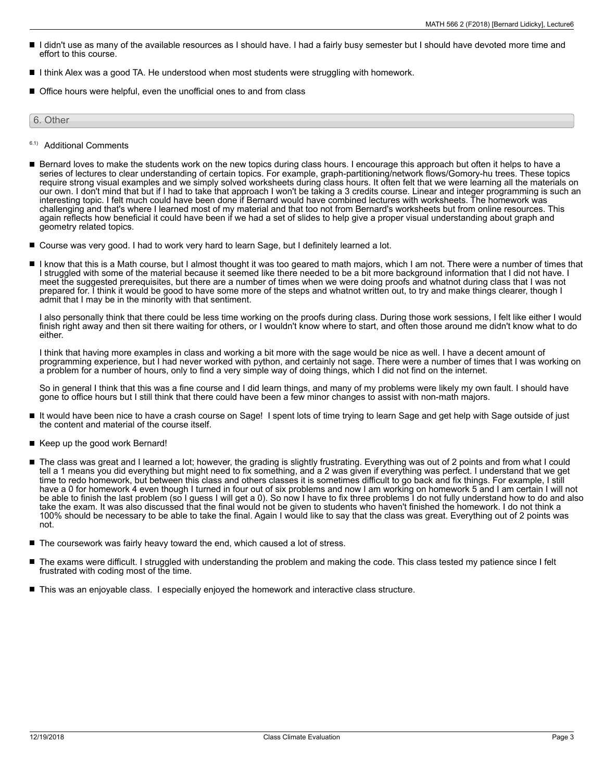- I didn't use as many of the available resources as I should have. I had a fairly busy semester but I should have devoted more time and effort to this course.
- I think Alex was a good TA. He understood when most students were struggling with homework.
- Office hours were helpful, even the unofficial ones to and from class

6. Other

- 6.1) Additional Comments
- Bernard loves to make the students work on the new topics during class hours. I encourage this approach but often it helps to have a series of lectures to clear understanding of certain topics. For example, graph-partitioning/network flows/Gomory-hu trees. These topics require strong visual examples and we simply solved worksheets during class hours. It often felt that we were learning all the materials on our own. I don't mind that but if I had to take that approach I won't be taking a 3 credits course. Linear and integer programming is such an interesting topic. I felt much could have been done if Bernard would have combined lectures with worksheets. The homework was challenging and that's where I learned most of my material and that too not from Bernard's worksheets but from online resources. This again reflects how beneficial it could have been if we had a set of slides to help give a proper visual understanding about graph and geometry related topics.
- Course was very good. I had to work very hard to learn Sage, but I definitely learned a lot.
- I know that this is a Math course, but I almost thought it was too geared to math majors, which I am not. There were a number of times that I struggled with some of the material because it seemed like there needed to be a bit more background information that I did not have. I meet the suggested prerequisites, but there are a number of times when we were doing proofs and whatnot during class that I was not prepared for. I think it would be good to have some more of the steps and whatnot written out, to try and make things clearer, though I admit that I may be in the minority with that sentiment.

I also personally think that there could be less time working on the proofs during class. During those work sessions, I felt like either I would finish right away and then sit there waiting for others, or I wouldn't know where to start, and often those around me didn't know what to do either.

I think that having more examples in class and working a bit more with the sage would be nice as well. I have a decent amount of programming experience, but I had never worked with python, and certainly not sage. There were a number of times that I was working on a problem for a number of hours, only to find a very simple way of doing things, which I did not find on the internet.

So in general I think that this was a fine course and I did learn things, and many of my problems were likely my own fault. I should have gone to office hours but I still think that there could have been a few minor changes to assist with non-math majors.

- $\blacksquare$ It would have been nice to have a crash course on Sage! I spent lots of time trying to learn Sage and get help with Sage outside of just the content and material of the course itself.
- Keep up the good work Bernard!
- The class was great and I learned a lot; however, the grading is slightly frustrating. Everything was out of 2 points and from what I could П tell a 1 means you did everything but might need to fix something, and a 2 was given if everything was perfect. I understand that we get time to redo homework, but between this class and others classes it is sometimes difficult to go back and fix things. For example, I still have a 0 for homework 4 even though I turned in four out of six problems and now I am working on homework 5 and I am certain I will not be able to finish the last problem (so I guess I will get a 0). So now I have to fix three problems I do not fully understand how to do and also take the exam. It was also discussed that the final would not be given to students who haven't finished the homework. I do not think a 100% should be necessary to be able to take the final. Again I would like to say that the class was great. Everything out of 2 points was not.
- The coursework was fairly heavy toward the end, which caused a lot of stress.
- $\blacksquare$ The exams were difficult. I struggled with understanding the problem and making the code. This class tested my patience since I felt frustrated with coding most of the time.
- This was an enjoyable class. I especially enjoyed the homework and interactive class structure.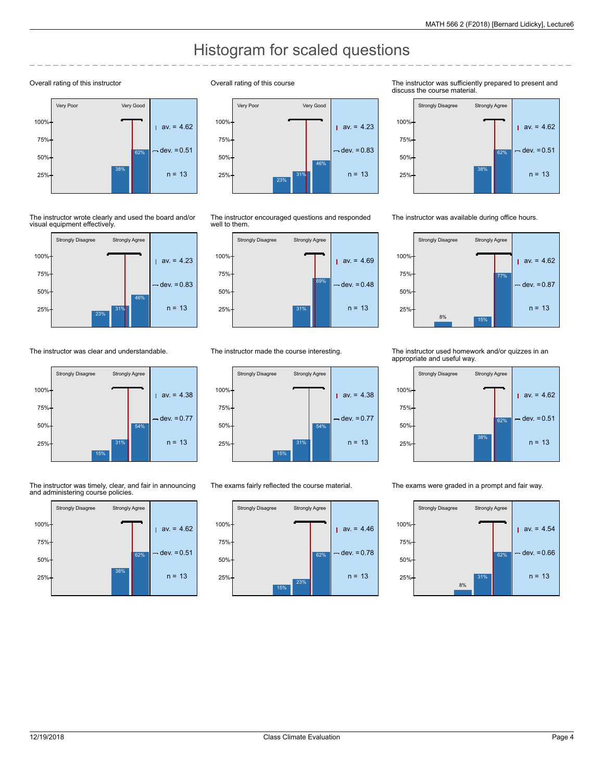## Histogram for scaled questions

## Overall rating of this instructor



The instructor wrote clearly and used the board and/or visual equipment effectively.



The instructor was clear and understandable.



The instructor was timely, clear, and fair in announcing and administering course policies.



Overall rating of this course



The instructor encouraged questions and responded well to them.



The instructor made the course interesting.



The exams fairly reflected the course material.



The instructor was sufficiently prepared to present and discuss the course material.



The instructor was available during office hours.



The instructor used homework and/or quizzes in an appropriate and useful way.



The exams were graded in a prompt and fair way.

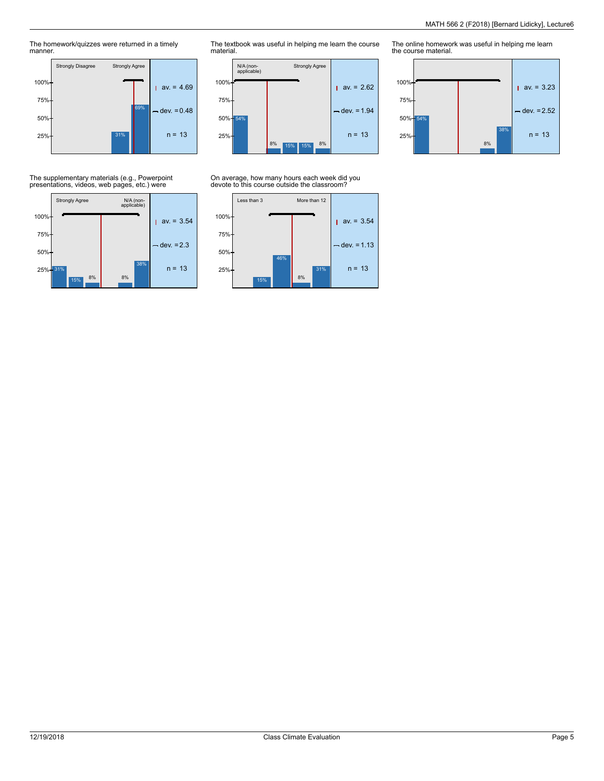The homework/quizzes were returned in a timely manner.



The textbook was useful in helping me learn the course material.



On average, how many hours each week did you devote to this course outside the classroom?



The online homework was useful in helping me learn the course material.



## The supplementary materials (e.g., Powerpoint presentations, videos, web pages, etc.) were

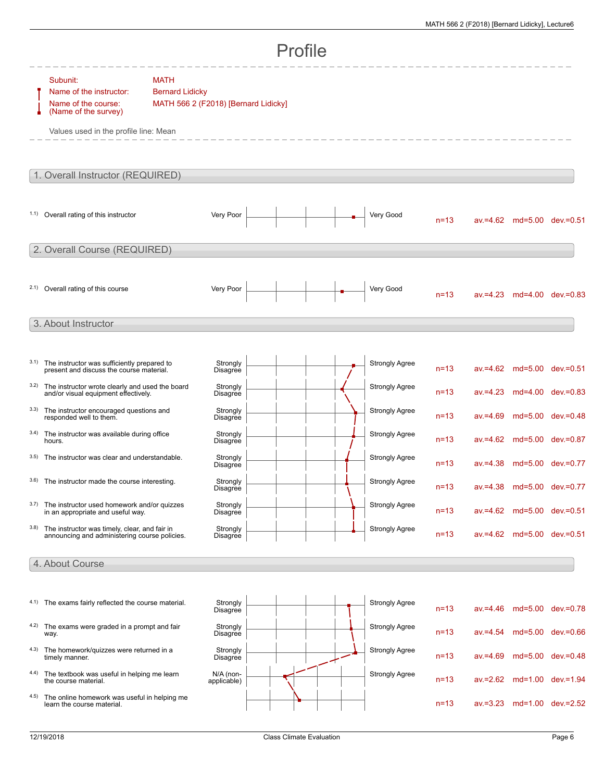| Profile |                                                                                                                             |                                                                               |                             |  |  |  |                       |          |             |                            |                            |
|---------|-----------------------------------------------------------------------------------------------------------------------------|-------------------------------------------------------------------------------|-----------------------------|--|--|--|-----------------------|----------|-------------|----------------------------|----------------------------|
|         | Subunit:<br>Name of the instructor:<br>Name of the course:<br>(Name of the survey)<br>Values used in the profile line: Mean | <b>MATH</b><br><b>Bernard Lidicky</b><br>MATH 566 2 (F2018) [Bernard Lidicky] |                             |  |  |  |                       |          |             |                            |                            |
|         | 1. Overall Instructor (REQUIRED)                                                                                            |                                                                               |                             |  |  |  |                       |          |             |                            |                            |
|         | 1.1) Overall rating of this instructor                                                                                      |                                                                               | Very Poor                   |  |  |  | Very Good             | $n = 13$ |             |                            | av.=4.62 md=5.00 dev.=0.51 |
|         | 2. Overall Course (REQUIRED)                                                                                                |                                                                               |                             |  |  |  |                       |          |             |                            |                            |
|         | 2.1) Overall rating of this course                                                                                          |                                                                               | Very Poor                   |  |  |  | Very Good             | $n = 13$ |             |                            | av.=4.23 md=4.00 dev.=0.83 |
|         | 3. About Instructor                                                                                                         |                                                                               |                             |  |  |  |                       |          |             |                            |                            |
| 3.1)    | The instructor was sufficiently prepared to<br>present and discuss the course material.                                     |                                                                               | Strongly<br>Disagree        |  |  |  | <b>Strongly Agree</b> | $n = 13$ |             |                            | av.=4.62 md=5.00 dev.=0.51 |
| 3.2)    | The instructor wrote clearly and used the board<br>and/or visual equipment effectively.                                     |                                                                               | Strongly<br>Disagree        |  |  |  | <b>Strongly Agree</b> | $n = 13$ |             |                            | av.=4.23 md=4.00 dev.=0.83 |
| 3.3)    | The instructor encouraged questions and<br>responded well to them.                                                          |                                                                               | Strongly<br>Disagree        |  |  |  | <b>Strongly Agree</b> | $n = 13$ | $av = 4.69$ |                            | md=5.00 dev.=0.48          |
| 3.4)    | The instructor was available during office<br>hours.                                                                        |                                                                               | Strongly<br>Disagree        |  |  |  | <b>Strongly Agree</b> | $n = 13$ |             |                            | av.=4.62 md=5.00 dev.=0.87 |
| 3.5)    | The instructor was clear and understandable.                                                                                |                                                                               | Strongly<br>Disagree        |  |  |  | <b>Strongly Agree</b> | $n = 13$ |             |                            | av.=4.38 md=5.00 dev.=0.77 |
| 3.6)    | The instructor made the course interesting.                                                                                 |                                                                               | Strongly<br>Disagree        |  |  |  | <b>Strongly Agree</b> | $n=13$   |             | av.=4.38 md=5.00 dev.=0.77 |                            |
| 3.7)    | The instructor used homework and/or quizzes<br>in an appropriate and useful way.                                            |                                                                               | Strongly<br>Disagree        |  |  |  | <b>Strongly Agree</b> | $n = 13$ |             |                            | av.=4.62 md=5.00 dev.=0.51 |
| 3.8)    | The instructor was timely, clear, and fair in<br>announcing and administering course policies.                              |                                                                               | Strongly<br><b>Disagree</b> |  |  |  | <b>Strongly Agree</b> | $n = 13$ |             |                            | av.=4.62 md=5.00 dev.=0.51 |
|         | 4. About Course                                                                                                             |                                                                               |                             |  |  |  |                       |          |             |                            |                            |
|         |                                                                                                                             |                                                                               |                             |  |  |  |                       |          |             |                            |                            |
|         | 4.1) The exams fairly reflected the course material.                                                                        |                                                                               | Strongly<br>Disagree        |  |  |  | <b>Strongly Agree</b> | $n = 13$ | $av = 4.46$ |                            | md=5.00 dev.=0.78          |
|         | 4.2) The exams were graded in a prompt and fair<br>way.                                                                     |                                                                               | Strongly<br>Disagree        |  |  |  | Strongly Agree        | $n = 13$ | $av = 4.54$ |                            | md=5.00 dev.=0.66          |
|         | 4.3) The homework/quizzes were returned in a<br>timely manner.                                                              |                                                                               | Strongly<br>Disagree        |  |  |  | <b>Strongly Agree</b> | $n = 13$ | $av = 4.69$ |                            | md=5.00 dev.=0.48          |
|         | 4.4) The textbook was useful in helping me learn<br>the course material.                                                    |                                                                               | N/A (non-<br>applicable)    |  |  |  | <b>Strongly Agree</b> | $n = 13$ |             |                            | av.=2.62 md=1.00 dev.=1.94 |
| 4.5)    | The online homework was useful in helping me<br>learn the course material.                                                  |                                                                               |                             |  |  |  |                       | $n = 13$ |             |                            | av.=3.23 md=1.00 dev.=2.52 |
|         |                                                                                                                             |                                                                               |                             |  |  |  |                       |          |             |                            |                            |